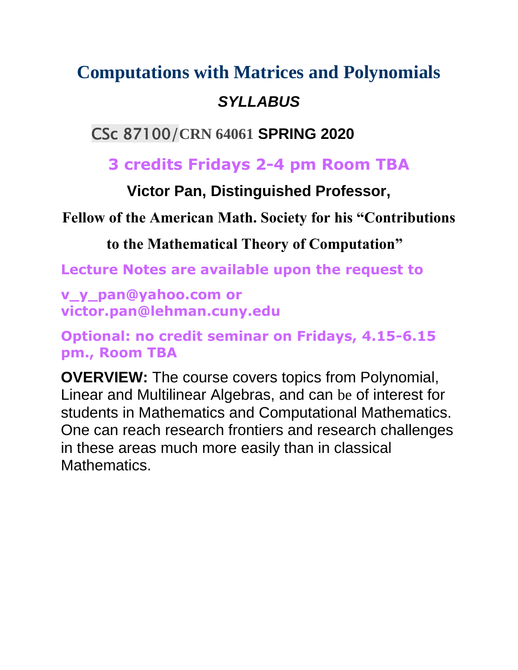# **[Computations with Matrices and Polynomials](https://www.gc.cuny.edu/CUNY_GC/media/Computer-Science/Courses/2019Fall/GC_syllabus_Algebraic-and-Numerical-Methods-Spring-2020-(CS-PhD-Program)-1.pdf)**

### *SYLLABUS*

### CSc 87100/**CRN 64061 SPRING 2020**

## **3 credits Fridays 2-4 pm Room TBA**

### **Victor Pan, Distinguished Professor,**

### **Fellow of the American Math. Society for his "Contributions**

### **to the Mathematical Theory of Computation"**

**Lecture Notes are available upon the request to** 

**v\_y\_pan@yahoo.com or victor.pan@lehman.cuny.edu**

**Optional: no credit seminar on Fridays, 4.15-6.15 pm., Room TBA**

**OVERVIEW:** The course covers topics from Polynomial, Linear and Multilinear Algebras, and can be of interest for students in Mathematics and Computational Mathematics. One can reach research frontiers and research challenges in these areas much more easily than in classical Mathematics.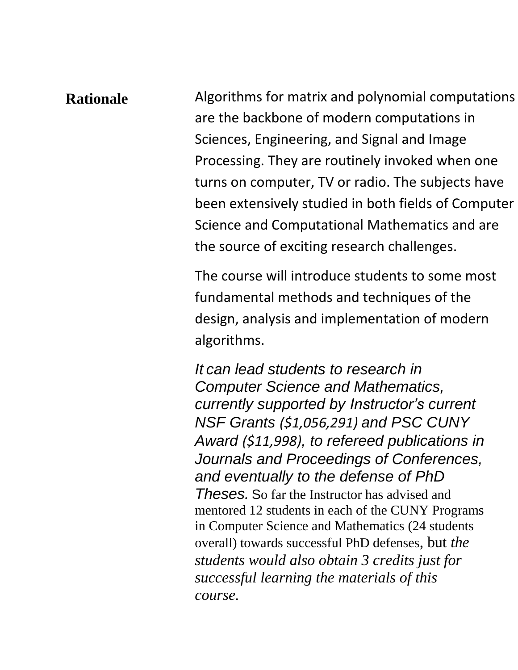**Rationale** Algorithms for matrix and polynomial computations are the backbone of modern computations in Sciences, Engineering, and Signal and Image Processing. They are routinely invoked when one turns on computer, TV or radio. The subjects have been extensively studied in both fields of Computer Science and Computational Mathematics and are the source of exciting research challenges.

> The course will introduce students to some most fundamental methods and techniques of the design, analysis and implementation of modern algorithms.

*It can lead students to research in Computer Science and Mathematics, currently supported by Instructor's current NSF Grants (\$1,056,291) and PSC CUNY Award (\$11,998), to refereed publications in Journals and Proceedings of Conferences, and eventually to the defense of PhD Theses.* So far the Instructor has advised and mentored 12 students in each of the CUNY Programs in Computer Science and Mathematics (24 students overall) towards successful PhD defenses, but *the students would also obtain 3 credits just for successful learning the materials of this course.*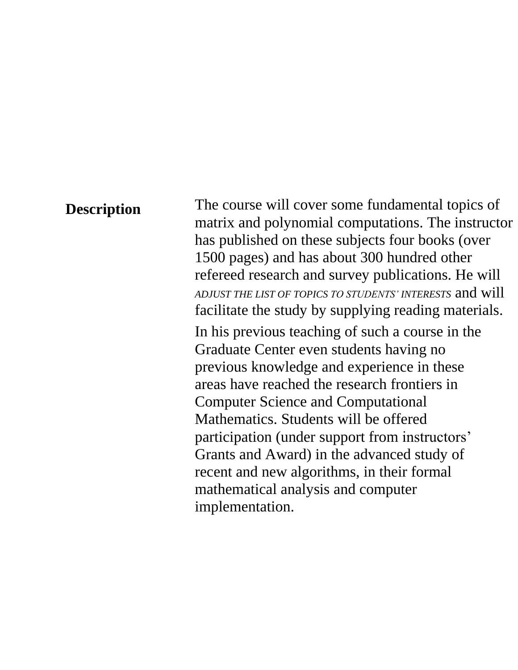**Description** The course will cover some fundamental topics of matrix and polynomial computations. The instructor has published on these subjects four books (over 1500 pages) and has about 300 hundred other refereed research and survey publications. He will *ADJUST THE LIST OF TOPICS TO STUDENTS' INTERESTS* and will facilitate the study by supplying reading materials.

> In his previous teaching of such a course in the Graduate Center even students having no previous knowledge and experience in these areas have reached the research frontiers in Computer Science and Computational Mathematics. Students will be offered participation (under support from instructors' Grants and Award) in the advanced study of recent and new algorithms, in their formal mathematical analysis and computer implementation.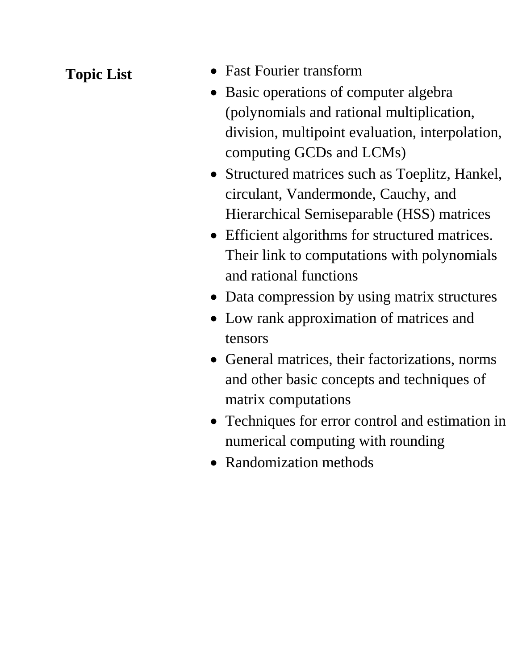- **Topic List** Fast Fourier transform
	- Basic operations of computer algebra (polynomials and rational multiplication, division, multipoint evaluation, interpolation, computing GCDs and LCMs)
	- Structured matrices such as Toeplitz, Hankel, circulant, Vandermonde, Cauchy, and Hierarchical Semiseparable (HSS) matrices
	- Efficient algorithms for structured matrices. Their link to computations with polynomials and rational functions
	- Data compression by using matrix structures
	- Low rank approximation of matrices and tensors
	- General matrices, their factorizations, norms and other basic concepts and techniques of matrix computations
	- Techniques for error control and estimation in numerical computing with rounding
	- Randomization methods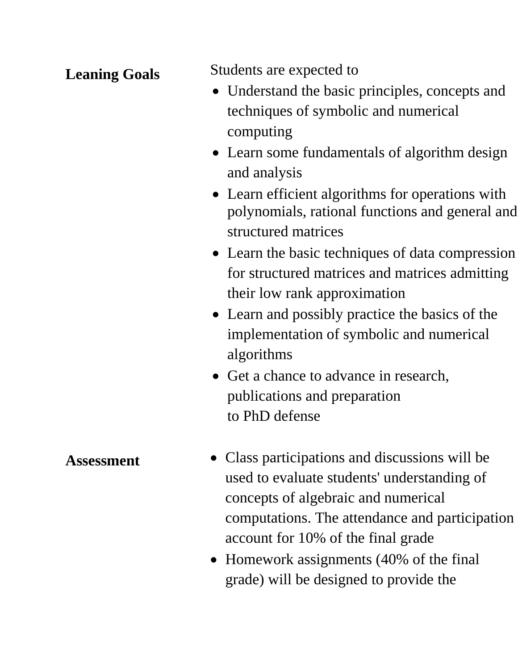**Leaning Goals** Students are expected to

- Understand the basic principles, concepts and techniques of symbolic and numerical computing
- Learn some fundamentals of algorithm design and analysis
- Learn efficient algorithms for operations with polynomials, rational functions and general and structured matrices
- Learn the basic techniques of data compression for structured matrices and matrices admitting their low rank approximation
- Learn and possibly practice the basics of the implementation of symbolic and numerical algorithms
- Get a chance to advance in research, publications and preparation to PhD defense
- Assessment Class participations and discussions will be used to evaluate students' understanding of concepts of algebraic and numerical computations. The attendance and participation account for 10% of the final grade
	- Homework assignments (40% of the final grade) will be designed to provide the